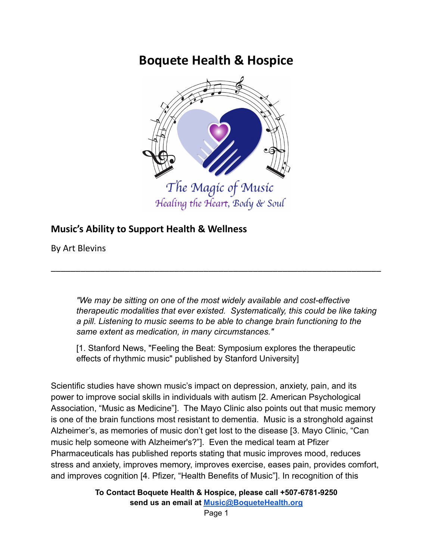# **Boquete Health & Hospice**



### **Music's Ability to Support Health & Wellness**

By Art Blevins

*"We may be sitting on one of the most widely available and cost-effective therapeutic modalities that ever existed. Systematically, this could be like taking a pill. Listening to music seems to be able to change brain functioning to the same extent as medication, in many circumstances."*

[1. Stanford News, "Feeling the Beat: Symposium explores the therapeutic effects of rhythmic music" published by Stanford University]

\_\_\_\_\_\_\_\_\_\_\_\_\_\_\_\_\_\_\_\_\_\_\_\_\_\_\_\_\_\_\_\_\_\_\_\_\_\_\_\_\_\_\_\_\_\_\_\_\_\_\_\_\_\_\_\_\_\_\_\_\_\_\_\_\_\_\_

Scientific studies have shown music's impact on depression, anxiety, pain, and its power to improve social skills in individuals with autism [2. American Psychological Association, "Music as Medicine"]. The Mayo Clinic also points out that music memory is one of the brain functions most resistant to dementia. Music is a stronghold against Alzheimer's, as memories of music don't get lost to the disease [3. Mayo Clinic, "Can music help someone with Alzheimer's?"]. Even the medical team at Pfizer Pharmaceuticals has published reports stating that music improves mood, reduces stress and anxiety, improves memory, improves exercise, eases pain, provides comfort, and improves cognition [4. Pfizer, "Health Benefits of Music"]. In recognition of this

> **To Contact Boquete Health & Hospice, please call +507-6781-9250 send us an email at [Music@BoqueteHealth.org](mailto:Music@boquetehospice.org)**

> > Page 1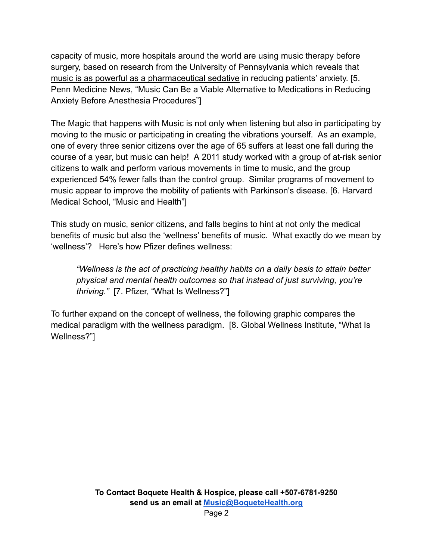capacity of music, more hospitals around the world are using music therapy before surgery, based on research from the University of Pennsylvania which reveals that music is as powerful as a pharmaceutical sedative in reducing patients' anxiety. [5. Penn Medicine News, "Music Can Be a Viable Alternative to Medications in Reducing Anxiety Before Anesthesia Procedures"]

The Magic that happens with Music is not only when listening but also in participating by moving to the music or participating in creating the vibrations yourself. As an example, one of every three senior citizens over the age of 65 suffers at least one fall during the course of a year, but music can help! A 2011 study worked with a group of at-risk senior citizens to walk and perform various movements in time to music, and the group experienced 54% fewer falls than the control group. Similar programs of movement to music appear to improve the mobility of patients with Parkinson's disease. [6. Harvard Medical School, "Music and Health"]

This study on music, senior citizens, and falls begins to hint at not only the medical benefits of music but also the 'wellness' benefits of music. What exactly do we mean by 'wellness'? Here's how Pfizer defines wellness:

*"Wellness is the act of practicing healthy habits on a daily basis to attain better physical and mental health outcomes so that instead of just surviving, you're thriving."* [7. Pfizer, "What Is Wellness?"]

To further expand on the concept of wellness, the following graphic compares the medical paradigm with the wellness paradigm. [8. Global Wellness Institute, "What Is Wellness?"]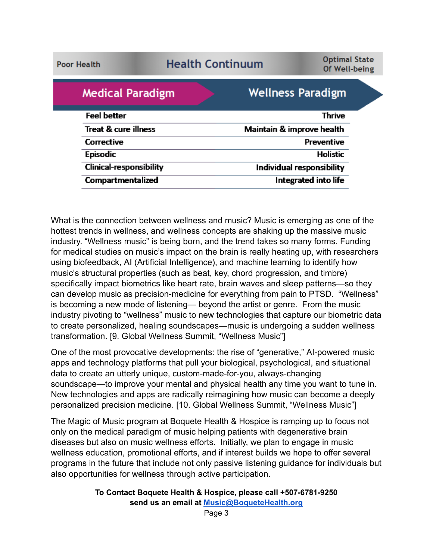**Poor Health** 

# **Health Continuum**

**Optimal State** Of Well-being

| <b>Medical Paradigm</b>         | <b>Wellness Paradigm</b>  |
|---------------------------------|---------------------------|
| <b>Feel better</b>              | Thrive                    |
| <b>Treat &amp; cure illness</b> | Maintain & improve health |
| Corrective                      | Preventive                |
| <b>Episodic</b>                 | <b>Holistic</b>           |
| <b>Clinical-responsibility</b>  | Individual responsibility |
| Compartmentalized               | Integrated into life      |

What is the connection between wellness and music? Music is emerging as one of the hottest trends in wellness, and wellness concepts are shaking up the massive music industry. "Wellness music" is being born, and the trend takes so many forms. Funding for medical studies on music's impact on the brain is really heating up, with researchers using biofeedback, AI (Artificial Intelligence), and machine learning to identify how music's structural properties (such as beat, key, chord progression, and timbre) specifically impact biometrics like heart rate, brain waves and sleep patterns—so they can develop music as precision-medicine for everything from pain to PTSD. "Wellness" is becoming a new mode of listening— beyond the artist or genre. From the music industry pivoting to "wellness" music to new technologies that capture our biometric data to create personalized, healing soundscapes—music is undergoing a sudden wellness transformation. [9. Global Wellness Summit, "Wellness Music"]

One of the most provocative developments: the rise of "generative," AI-powered music apps and technology platforms that pull your biological, psychological, and situational data to create an utterly unique, custom-made-for-you, always-changing soundscape—to improve your mental and physical health any time you want to tune in. New technologies and apps are radically reimagining how music can become a deeply personalized precision medicine. [10. Global Wellness Summit, "Wellness Music"]

The Magic of Music program at Boquete Health & Hospice is ramping up to focus not only on the medical paradigm of music helping patients with degenerative brain diseases but also on music wellness efforts. Initially, we plan to engage in music wellness education, promotional efforts, and if interest builds we hope to offer several programs in the future that include not only passive listening guidance for individuals but also opportunities for wellness through active participation.

**To Contact Boquete Health & Hospice, please call +507-6781-9250 send us an email at [Music@BoqueteHealth.org](mailto:Music@boquetehospice.org)**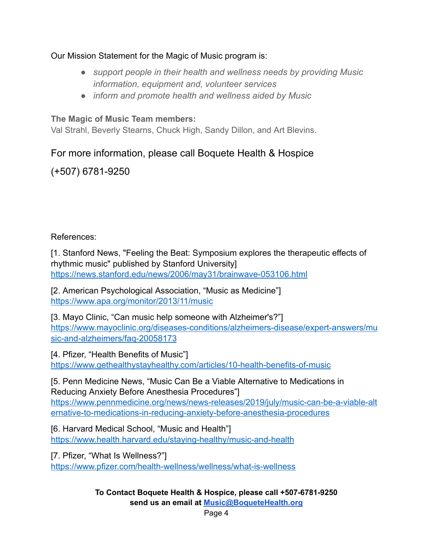#### Our Mission Statement for the Magic of Music program is:

- *● support people in their health and wellness needs by providing Music information, equipment and, volunteer services*
- *● inform and promote health and wellness aided by Music*

#### **The Magic of Music Team members:**

Val Strahl, Beverly Stearns, Chuck High, Sandy Dillon, and Art Blevins.

## For more information, please call Boquete Health & Hospice

## (+507) 6781-9250

#### References:

[1. Stanford News, "Feeling the Beat: Symposium explores the therapeutic effects of rhythmic music" published by Stanford University] <https://news.stanford.edu/news/2006/may31/brainwave-053106.html>

[2. American Psychological Association, "Music as Medicine"] <https://www.apa.org/monitor/2013/11/music>

[3. Mayo Clinic, "Can music help someone with Alzheimer's?"] [https://www.mayoclinic.org/diseases-conditions/alzheimers-disease/expert-answers/mu](https://www.mayoclinic.org/diseases-conditions/alzheimers-disease/expert-answers/music-and-alzheimers/faq-20058173) [sic-and-alzheimers/faq-20058173](https://www.mayoclinic.org/diseases-conditions/alzheimers-disease/expert-answers/music-and-alzheimers/faq-20058173)

[4. Pfizer, "Health Benefits of Music"] <https://www.gethealthystayhealthy.com/articles/10-health-benefits-of-music>

[5. Penn Medicine News, "Music Can Be a Viable Alternative to Medications in Reducing Anxiety Before Anesthesia Procedures"] [https://www.pennmedicine.org/news/news-releases/2019/july/music-can-be-a-viable-alt](https://www.pennmedicine.org/news/news-releases/2019/july/music-can-be-a-viable-alternative-to-medications-in-reducing-anxiety-before-anesthesia-procedures) [ernative-to-medications-in-reducing-anxiety-before-anesthesia-procedures](https://www.pennmedicine.org/news/news-releases/2019/july/music-can-be-a-viable-alternative-to-medications-in-reducing-anxiety-before-anesthesia-procedures)

[6. Harvard Medical School, "Music and Health"] <https://www.health.harvard.edu/staying-healthy/music-and-health>

[7. Pfizer, "What Is Wellness?"] <https://www.pfizer.com/health-wellness/wellness/what-is-wellness>

> **To Contact Boquete Health & Hospice, please call +507-6781-9250 send us an email at [Music@BoqueteHealth.org](mailto:Music@boquetehospice.org)**

Page 4